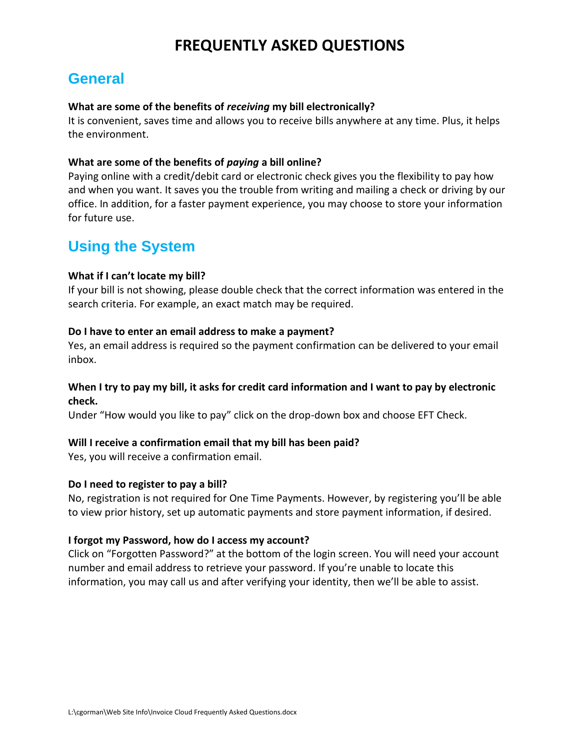# **FREQUENTLY ASKED QUESTIONS**

# **General**

#### **What are some of the benefits of** *receiving* **my bill electronically?**

It is convenient, saves time and allows you to receive bills anywhere at any time. Plus, it helps the environment.

#### **What are some of the benefits of** *paying* **a bill online?**

Paying online with a credit/debit card or electronic check gives you the flexibility to pay how and when you want. It saves you the trouble from writing and mailing a check or driving by our office. In addition, for a faster payment experience, you may choose to store your information for future use.

# **Using the System**

#### **What if I can't locate my bill?**

If your bill is not showing, please double check that the correct information was entered in the search criteria. For example, an exact match may be required.

#### **Do I have to enter an email address to make a payment?**

Yes, an email address is required so the payment confirmation can be delivered to your email inbox.

#### **When I try to pay my bill, it asks for credit card information and I want to pay by electronic check.**

Under "How would you like to pay" click on the drop-down box and choose EFT Check.

#### **Will I receive a confirmation email that my bill has been paid?**

Yes, you will receive a confirmation email.

#### **Do I need to register to pay a bill?**

No, registration is not required for One Time Payments. However, by registering you'll be able to view prior history, set up automatic payments and store payment information, if desired.

#### **I forgot my Password, how do I access my account?**

Click on "Forgotten Password?" at the bottom of the login screen. You will need your account number and email address to retrieve your password. If you're unable to locate this information, you may call us and after verifying your identity, then we'll be able to assist.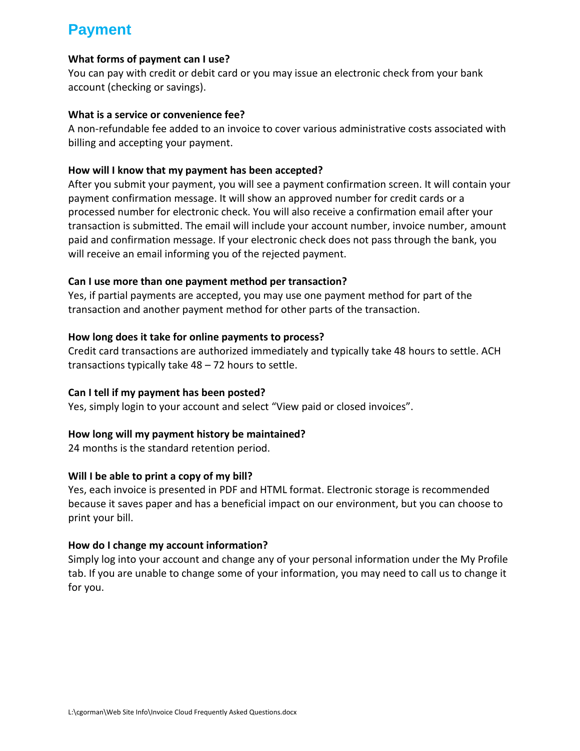# **Payment**

### **What forms of payment can I use?**

You can pay with credit or debit card or you may issue an electronic check from your bank account (checking or savings).

#### **What is a service or convenience fee?**

A non-refundable fee added to an invoice to cover various administrative costs associated with billing and accepting your payment.

## **How will I know that my payment has been accepted?**

After you submit your payment, you will see a payment confirmation screen. It will contain your payment confirmation message. It will show an approved number for credit cards or a processed number for electronic check. You will also receive a confirmation email after your transaction is submitted. The email will include your account number, invoice number, amount paid and confirmation message. If your electronic check does not pass through the bank, you will receive an email informing you of the rejected payment.

## **Can I use more than one payment method per transaction?**

Yes, if partial payments are accepted, you may use one payment method for part of the transaction and another payment method for other parts of the transaction.

## **How long does it take for online payments to process?**

Credit card transactions are authorized immediately and typically take 48 hours to settle. ACH transactions typically take 48 – 72 hours to settle.

#### **Can I tell if my payment has been posted?**

Yes, simply login to your account and select "View paid or closed invoices".

# **How long will my payment history be maintained?**

24 months is the standard retention period.

#### **Will I be able to print a copy of my bill?**

Yes, each invoice is presented in PDF and HTML format. Electronic storage is recommended because it saves paper and has a beneficial impact on our environment, but you can choose to print your bill.

# **How do I change my account information?**

Simply log into your account and change any of your personal information under the My Profile tab. If you are unable to change some of your information, you may need to call us to change it for you.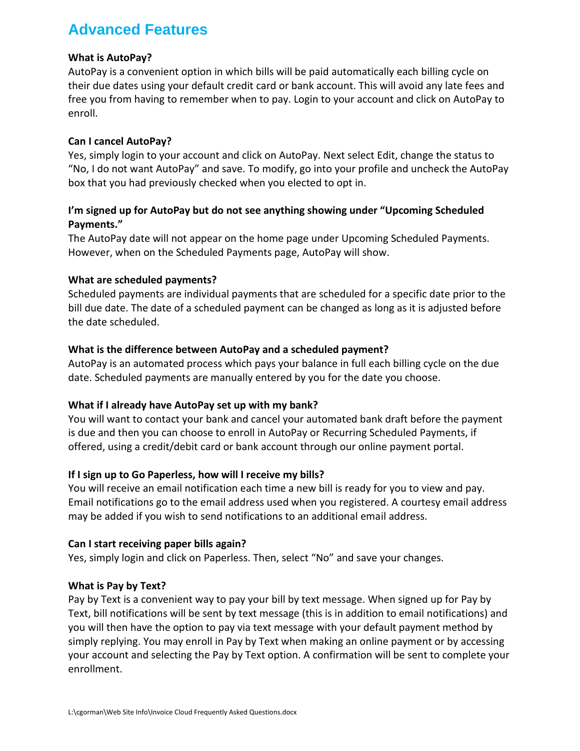# **Advanced Features**

## **What is AutoPay?**

AutoPay is a convenient option in which bills will be paid automatically each billing cycle on their due dates using your default credit card or bank account. This will avoid any late fees and free you from having to remember when to pay. Login to your account and click on AutoPay to enroll.

#### **Can I cancel AutoPay?**

Yes, simply login to your account and click on AutoPay. Next select Edit, change the status to "No, I do not want AutoPay" and save. To modify, go into your profile and uncheck the AutoPay box that you had previously checked when you elected to opt in.

# **I'm signed up for AutoPay but do not see anything showing under "Upcoming Scheduled Payments."**

The AutoPay date will not appear on the home page under Upcoming Scheduled Payments. However, when on the Scheduled Payments page, AutoPay will show.

## **What are scheduled payments?**

Scheduled payments are individual payments that are scheduled for a specific date prior to the bill due date. The date of a scheduled payment can be changed as long as it is adjusted before the date scheduled.

## **What is the difference between AutoPay and a scheduled payment?**

AutoPay is an automated process which pays your balance in full each billing cycle on the due date. Scheduled payments are manually entered by you for the date you choose.

#### **What if I already have AutoPay set up with my bank?**

You will want to contact your bank and cancel your automated bank draft before the payment is due and then you can choose to enroll in AutoPay or Recurring Scheduled Payments, if offered, using a credit/debit card or bank account through our online payment portal.

# **If I sign up to Go Paperless, how will I receive my bills?**

You will receive an email notification each time a new bill is ready for you to view and pay. Email notifications go to the email address used when you registered. A courtesy email address may be added if you wish to send notifications to an additional email address.

#### **Can I start receiving paper bills again?**

Yes, simply login and click on Paperless. Then, select "No" and save your changes.

#### **What is Pay by Text?**

Pay by Text is a convenient way to pay your bill by text message. When signed up for Pay by Text, bill notifications will be sent by text message (this is in addition to email notifications) and you will then have the option to pay via text message with your default payment method by simply replying. You may enroll in Pay by Text when making an online payment or by accessing your account and selecting the Pay by Text option. A confirmation will be sent to complete your enrollment.